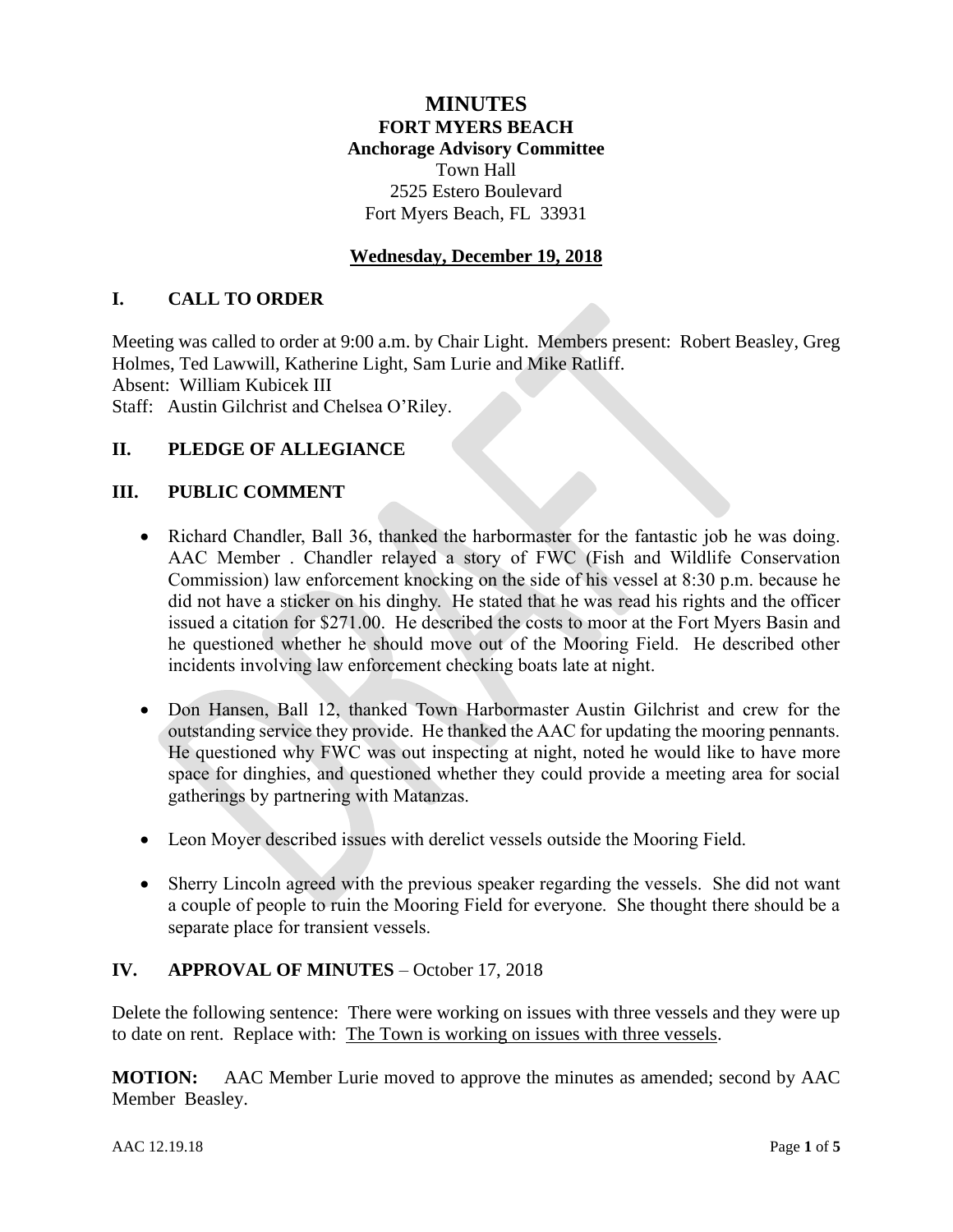# **MINUTES FORT MYERS BEACH Anchorage Advisory Committee** Town Hall 2525 Estero Boulevard Fort Myers Beach, FL 33931

# **Wednesday, December 19, 2018**

#### **I. CALL TO ORDER**

Meeting was called to order at 9:00 a.m. by Chair Light. Members present: Robert Beasley, Greg Holmes, Ted Lawwill, Katherine Light, Sam Lurie and Mike Ratliff.

Absent: William Kubicek III

Staff: Austin Gilchrist and Chelsea O'Riley.

#### **II. PLEDGE OF ALLEGIANCE**

#### **III. PUBLIC COMMENT**

- Richard Chandler, Ball 36, thanked the harbormaster for the fantastic job he was doing. AAC Member . Chandler relayed a story of FWC (Fish and Wildlife Conservation Commission) law enforcement knocking on the side of his vessel at 8:30 p.m. because he did not have a sticker on his dinghy. He stated that he was read his rights and the officer issued a citation for \$271.00. He described the costs to moor at the Fort Myers Basin and he questioned whether he should move out of the Mooring Field. He described other incidents involving law enforcement checking boats late at night.
- Don Hansen, Ball 12, thanked Town Harbormaster Austin Gilchrist and crew for the outstanding service they provide. He thanked the AAC for updating the mooring pennants. He questioned why FWC was out inspecting at night, noted he would like to have more space for dinghies, and questioned whether they could provide a meeting area for social gatherings by partnering with Matanzas.
- Leon Moyer described issues with derelict vessels outside the Mooring Field.
- Sherry Lincoln agreed with the previous speaker regarding the vessels. She did not want a couple of people to ruin the Mooring Field for everyone. She thought there should be a separate place for transient vessels.

#### **IV. APPROVAL OF MINUTES** – October 17, 2018

Delete the following sentence: There were working on issues with three vessels and they were up to date on rent. Replace with: The Town is working on issues with three vessels.

**MOTION:** AAC Member Lurie moved to approve the minutes as amended; second by AAC Member Beasley.

AAC 12.19.18 Page **1** of **5**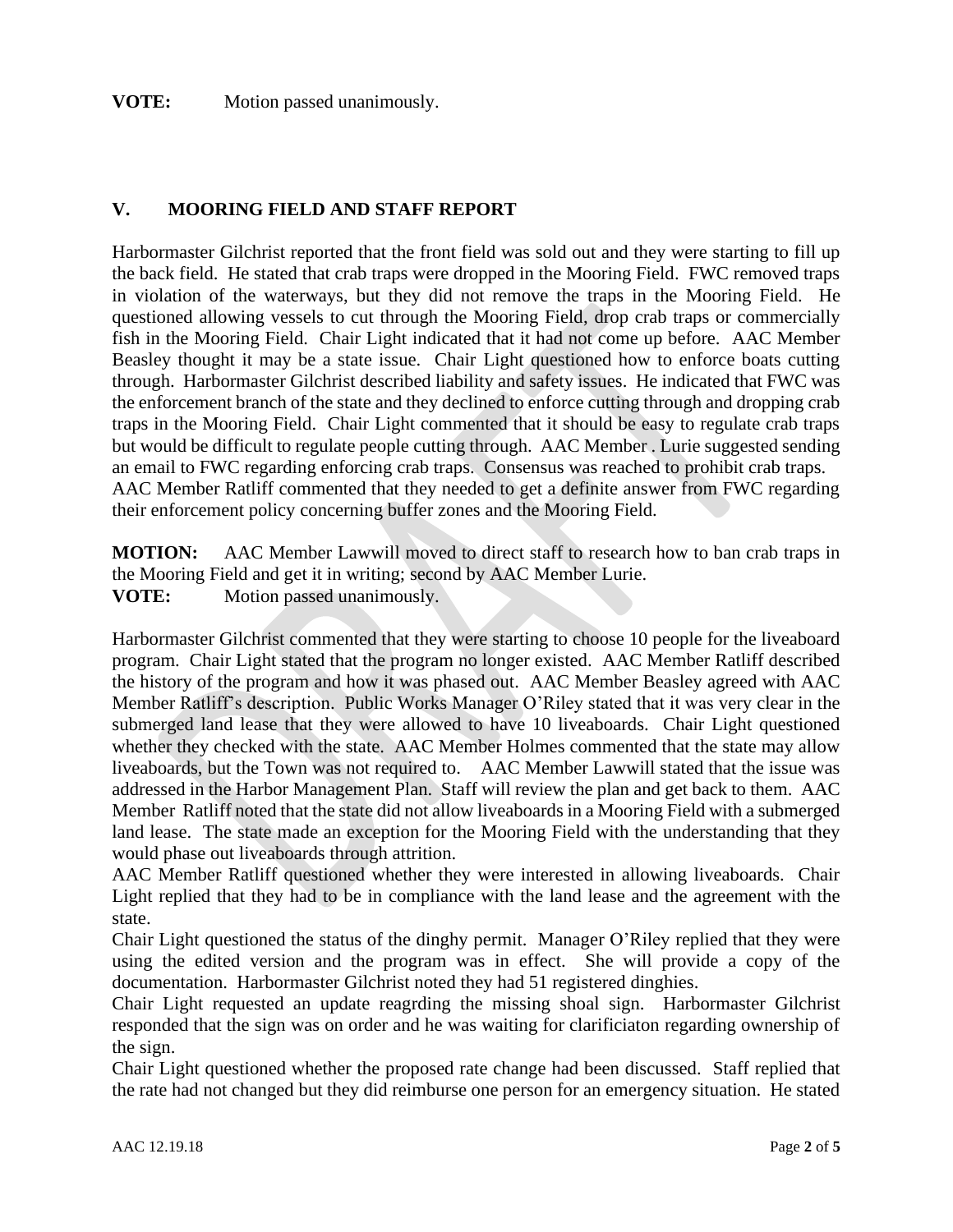#### **VOTE:** Motion passed unanimously.

#### **V. MOORING FIELD AND STAFF REPORT**

Harbormaster Gilchrist reported that the front field was sold out and they were starting to fill up the back field. He stated that crab traps were dropped in the Mooring Field. FWC removed traps in violation of the waterways, but they did not remove the traps in the Mooring Field. He questioned allowing vessels to cut through the Mooring Field, drop crab traps or commercially fish in the Mooring Field. Chair Light indicated that it had not come up before. AAC Member Beasley thought it may be a state issue. Chair Light questioned how to enforce boats cutting through. Harbormaster Gilchrist described liability and safety issues. He indicated that FWC was the enforcement branch of the state and they declined to enforce cutting through and dropping crab traps in the Mooring Field. Chair Light commented that it should be easy to regulate crab traps but would be difficult to regulate people cutting through. AAC Member . Lurie suggested sending an email to FWC regarding enforcing crab traps. Consensus was reached to prohibit crab traps. AAC Member Ratliff commented that they needed to get a definite answer from FWC regarding their enforcement policy concerning buffer zones and the Mooring Field.

**MOTION:** AAC Member Lawwill moved to direct staff to research how to ban crab traps in the Mooring Field and get it in writing; second by AAC Member Lurie. **VOTE:** Motion passed unanimously.

Harbormaster Gilchrist commented that they were starting to choose 10 people for the liveaboard program. Chair Light stated that the program no longer existed. AAC Member Ratliff described the history of the program and how it was phased out. AAC Member Beasley agreed with AAC Member Ratliff's description. Public Works Manager O'Riley stated that it was very clear in the submerged land lease that they were allowed to have 10 liveaboards. Chair Light questioned whether they checked with the state. AAC Member Holmes commented that the state may allow liveaboards, but the Town was not required to. AAC Member Lawwill stated that the issue was addressed in the Harbor Management Plan. Staff will review the plan and get back to them. AAC Member Ratliff noted that the state did not allow liveaboards in a Mooring Field with a submerged land lease. The state made an exception for the Mooring Field with the understanding that they would phase out liveaboards through attrition.

AAC Member Ratliff questioned whether they were interested in allowing liveaboards. Chair Light replied that they had to be in compliance with the land lease and the agreement with the state.

Chair Light questioned the status of the dinghy permit. Manager O'Riley replied that they were using the edited version and the program was in effect. She will provide a copy of the documentation. Harbormaster Gilchrist noted they had 51 registered dinghies.

Chair Light requested an update reagrding the missing shoal sign. Harbormaster Gilchrist responded that the sign was on order and he was waiting for clarificiaton regarding ownership of the sign.

Chair Light questioned whether the proposed rate change had been discussed. Staff replied that the rate had not changed but they did reimburse one person for an emergency situation. He stated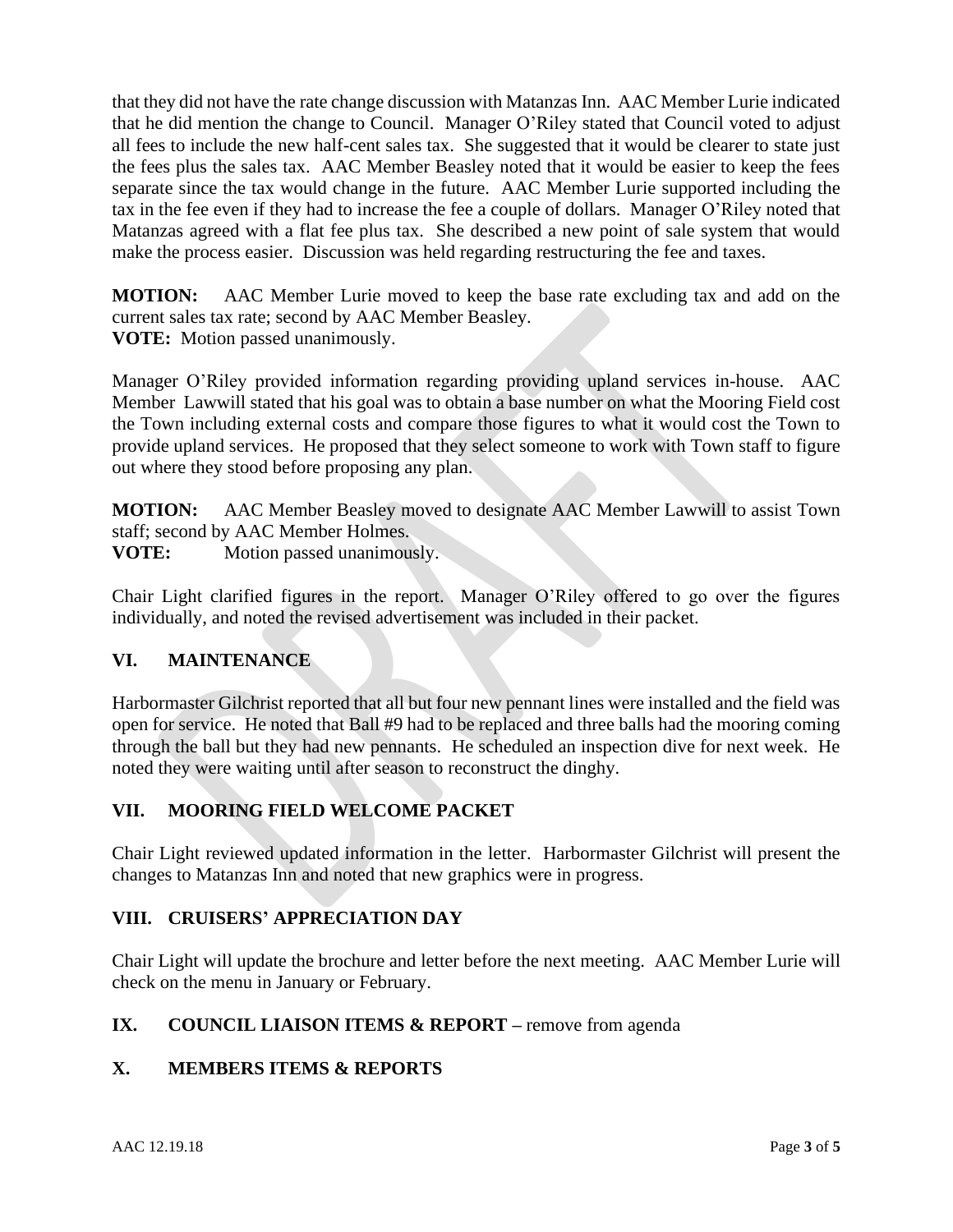that they did not have the rate change discussion with Matanzas Inn. AAC Member Lurie indicated that he did mention the change to Council. Manager O'Riley stated that Council voted to adjust all fees to include the new half-cent sales tax. She suggested that it would be clearer to state just the fees plus the sales tax. AAC Member Beasley noted that it would be easier to keep the fees separate since the tax would change in the future. AAC Member Lurie supported including the tax in the fee even if they had to increase the fee a couple of dollars. Manager O'Riley noted that Matanzas agreed with a flat fee plus tax. She described a new point of sale system that would make the process easier. Discussion was held regarding restructuring the fee and taxes.

**MOTION:** AAC Member Lurie moved to keep the base rate excluding tax and add on the current sales tax rate; second by AAC Member Beasley. **VOTE:** Motion passed unanimously.

Manager O'Riley provided information regarding providing upland services in-house. AAC Member Lawwill stated that his goal was to obtain a base number on what the Mooring Field cost the Town including external costs and compare those figures to what it would cost the Town to provide upland services. He proposed that they select someone to work with Town staff to figure out where they stood before proposing any plan.

**MOTION:** AAC Member Beasley moved to designate AAC Member Lawwill to assist Town staff; second by AAC Member Holmes.

**VOTE:** Motion passed unanimously.

Chair Light clarified figures in the report. Manager O'Riley offered to go over the figures individually, and noted the revised advertisement was included in their packet.

# **VI. MAINTENANCE**

Harbormaster Gilchrist reported that all but four new pennant lines were installed and the field was open for service. He noted that Ball #9 had to be replaced and three balls had the mooring coming through the ball but they had new pennants. He scheduled an inspection dive for next week. He noted they were waiting until after season to reconstruct the dinghy.

# **VII. MOORING FIELD WELCOME PACKET**

Chair Light reviewed updated information in the letter. Harbormaster Gilchrist will present the changes to Matanzas Inn and noted that new graphics were in progress.

# **VIII. CRUISERS' APPRECIATION DAY**

Chair Light will update the brochure and letter before the next meeting. AAC Member Lurie will check on the menu in January or February.

# **IX. COUNCIL LIAISON ITEMS & REPORT** – remove from agenda

# **X. MEMBERS ITEMS & REPORTS**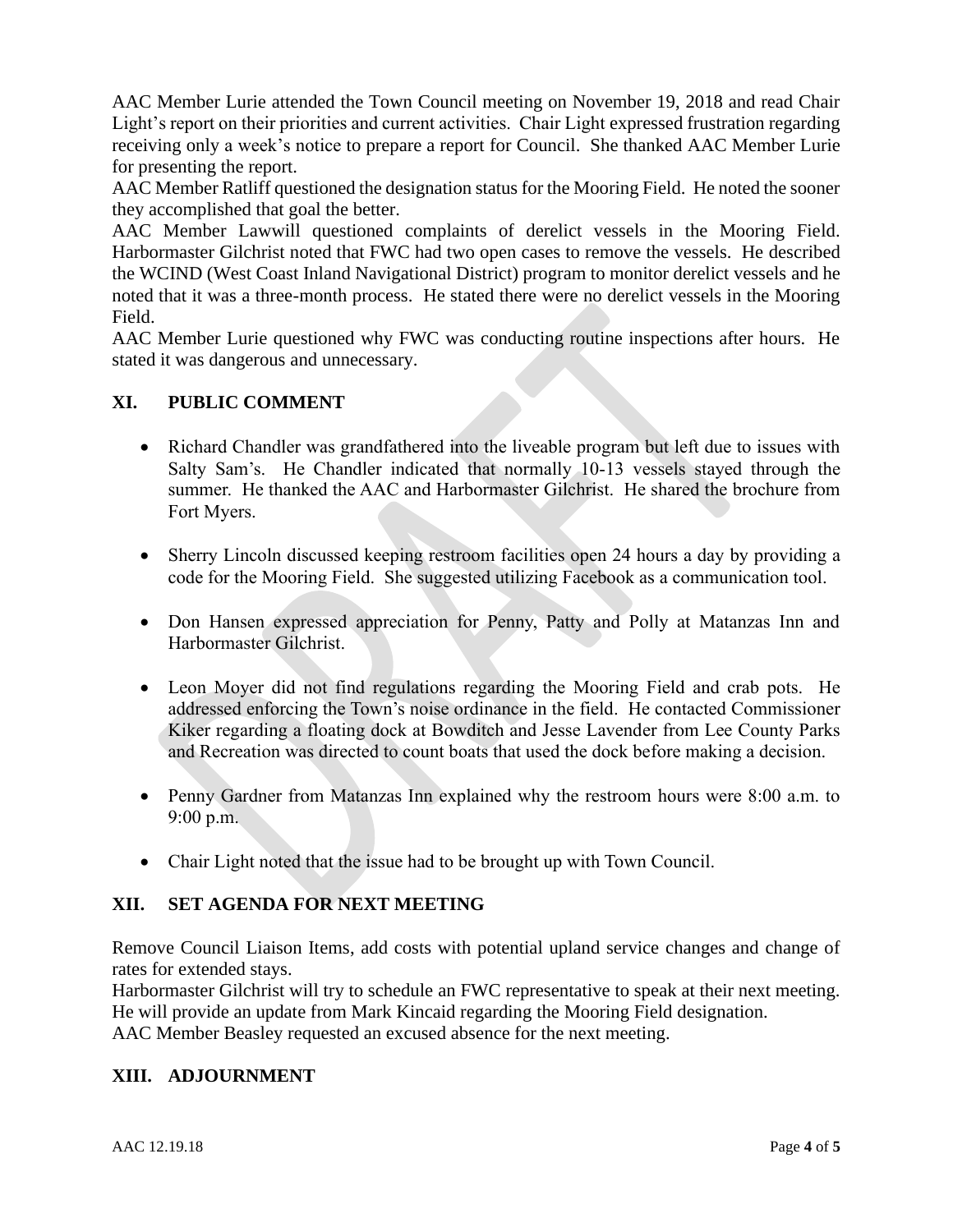AAC Member Lurie attended the Town Council meeting on November 19, 2018 and read Chair Light's report on their priorities and current activities. Chair Light expressed frustration regarding receiving only a week's notice to prepare a report for Council. She thanked AAC Member Lurie for presenting the report.

AAC Member Ratliff questioned the designation status for the Mooring Field. He noted the sooner they accomplished that goal the better.

AAC Member Lawwill questioned complaints of derelict vessels in the Mooring Field. Harbormaster Gilchrist noted that FWC had two open cases to remove the vessels. He described the WCIND (West Coast Inland Navigational District) program to monitor derelict vessels and he noted that it was a three-month process. He stated there were no derelict vessels in the Mooring Field.

AAC Member Lurie questioned why FWC was conducting routine inspections after hours. He stated it was dangerous and unnecessary.

# **XI. PUBLIC COMMENT**

- Richard Chandler was grandfathered into the liveable program but left due to issues with Salty Sam's. He Chandler indicated that normally 10-13 vessels stayed through the summer. He thanked the AAC and Harbormaster Gilchrist. He shared the brochure from Fort Myers.
- Sherry Lincoln discussed keeping restroom facilities open 24 hours a day by providing a code for the Mooring Field. She suggested utilizing Facebook as a communication tool.
- Don Hansen expressed appreciation for Penny, Patty and Polly at Matanzas Inn and Harbormaster Gilchrist.
- Leon Moyer did not find regulations regarding the Mooring Field and crab pots. He addressed enforcing the Town's noise ordinance in the field. He contacted Commissioner Kiker regarding a floating dock at Bowditch and Jesse Lavender from Lee County Parks and Recreation was directed to count boats that used the dock before making a decision.
- Penny Gardner from Matanzas Inn explained why the restroom hours were 8:00 a.m. to 9:00 p.m.
- Chair Light noted that the issue had to be brought up with Town Council.

# **XII. SET AGENDA FOR NEXT MEETING**

Remove Council Liaison Items, add costs with potential upland service changes and change of rates for extended stays.

Harbormaster Gilchrist will try to schedule an FWC representative to speak at their next meeting. He will provide an update from Mark Kincaid regarding the Mooring Field designation.

AAC Member Beasley requested an excused absence for the next meeting.

# **XIII. ADJOURNMENT**